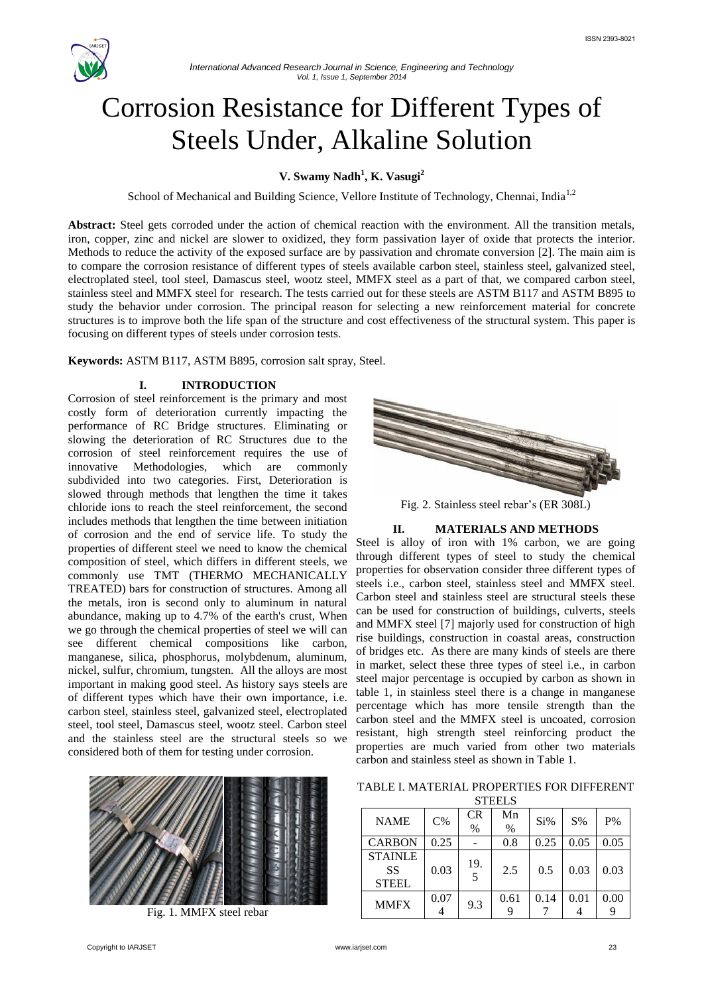

# Corrosion Resistance for Different Types of Steels Under, Alkaline Solution

## **V. Swamy Nadh<sup>1</sup> , K. Vasugi<sup>2</sup>**

School of Mechanical and Building Science, Vellore Institute of Technology, Chennai, India<sup>1,2</sup>

**Abstract:** Steel gets corroded under the action of chemical reaction with the environment. All the transition metals, iron, copper, zinc and nickel are slower to oxidized, they form passivation layer of oxide that protects the interior. Methods to reduce the activity of the exposed surface are by passivation and chromate conversion [2]. The main aim is to compare the corrosion resistance of different types of steels available carbon steel, stainless steel, galvanized steel, electroplated steel, tool steel, Damascus steel, wootz steel, MMFX steel as a part of that, we compared carbon steel, stainless steel and MMFX steel for research. The tests carried out for these steels are ASTM B117 and ASTM B895 to study the behavior under corrosion. The principal reason for selecting a new reinforcement material for concrete structures is to improve both the life span of the structure and cost effectiveness of the structural system. This paper is focusing on different types of steels under corrosion tests.

**Keywords:** ASTM B117, ASTM B895, corrosion salt spray, Steel.

#### **I. INTRODUCTION**

Corrosion of steel reinforcement is the primary and most costly form of deterioration currently impacting the performance of RC Bridge structures. Eliminating or slowing the deterioration of RC Structures due to the corrosion of steel reinforcement requires the use of innovative Methodologies, which are commonly subdivided into two categories. First, Deterioration is slowed through methods that lengthen the time it takes chloride ions to reach the steel reinforcement, the second includes methods that lengthen the time between initiation of corrosion and the end of service life. To study the properties of different steel we need to know the chemical composition of steel, which differs in different steels, we commonly use TMT (THERMO MECHANICALLY TREATED) bars for construction of structures. Among all the metals, iron is second only to aluminum in natural abundance, making up to 4.7% of the earth's crust, When we go through the chemical properties of steel we will can see different chemical compositions like carbon, manganese, silica, phosphorus, molybdenum, aluminum, nickel, sulfur, chromium, tungsten. All the alloys are most important in making good steel. As history says steels are of different types which have their own importance, i.e. carbon steel, stainless steel, galvanized steel, electroplated steel, tool steel, Damascus steel, wootz steel. Carbon steel and the stainless steel are the structural steels so we considered both of them for testing under corrosion.



Fig. 1. MMFX steel rebar



Fig. 2. Stainless steel rebar's (ER 308L)

#### **II. MATERIALS AND METHODS**

Steel is alloy of iron with 1% carbon, we are going through different types of steel to study the chemical properties for observation consider three different types of steels i.e., carbon steel, stainless steel and MMFX steel. Carbon steel and stainless steel are structural steels these can be used for construction of buildings, culverts, steels and MMFX steel [7] majorly used for construction of high rise buildings, construction in coastal areas, construction of bridges etc. As there are many kinds of steels are there in market, select these three types of steel i.e., in carbon steel major percentage is occupied by carbon as shown in table 1, in stainless steel there is a change in manganese percentage which has more tensile strength than the carbon steel and the MMFX steel is uncoated, corrosion resistant, high strength steel reinforcing product the properties are much varied from other two materials carbon and stainless steel as shown in Table 1.

| TABLE I. MATERIAL PROPERTIES FOR DIFFERENT |  |
|--------------------------------------------|--|
| <b>CTELL C</b>                             |  |

| <b>NAME</b>                          | $C\%$ | CR<br>$\%$ | Mn<br>$\%$ | Si%  | S%   | P%   |
|--------------------------------------|-------|------------|------------|------|------|------|
| <b>CARBON</b>                        | 0.25  |            | 0.8        | 0.25 | 0.05 | 0.05 |
| <b>STAINLE</b><br>SS<br><b>STEEL</b> | 0.03  | 19.        | 2.5        | 0.5  | 0.03 | 0.03 |
| <b>MMFX</b>                          | 0.07  | 9.3        | 0.61       | 0.14 | 0.01 | 0.00 |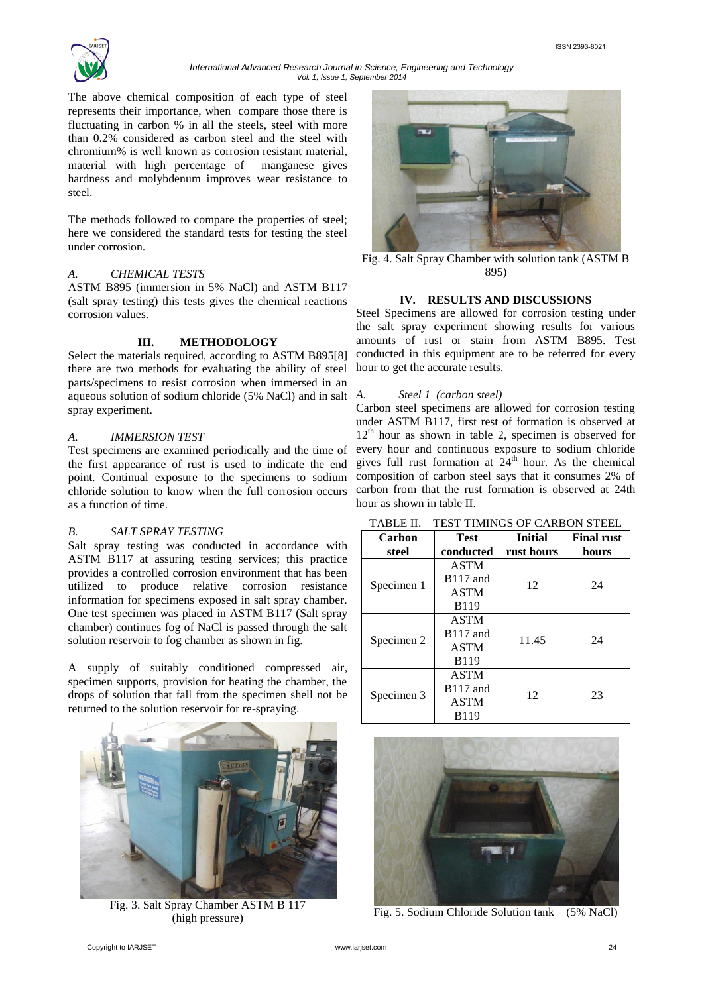

#### *International Advanced Research Journal in Science, Engineering and Technology Vol. 1, Issue 1, September 2014*

The above chemical composition of each type of steel represents their importance, when compare those there is fluctuating in carbon % in all the steels, steel with more than 0.2% considered as carbon steel and the steel with chromium% is well known as corrosion resistant material, material with high percentage of manganese gives hardness and molybdenum improves wear resistance to steel.

The methods followed to compare the properties of steel; here we considered the standard tests for testing the steel under corrosion.

#### *A. CHEMICAL TESTS*

ASTM B895 (immersion in 5% NaCl) and ASTM B117 (salt spray testing) this tests gives the chemical reactions corrosion values.

#### **III. METHODOLOGY**

Select the materials required, according to ASTM B895[8] there are two methods for evaluating the ability of steel parts/specimens to resist corrosion when immersed in an aqueous solution of sodium chloride (5% NaCl) and in salt A. spray experiment.

#### *A. IMMERSION TEST*

Test specimens are examined periodically and the time of the first appearance of rust is used to indicate the end point. Continual exposure to the specimens to sodium chloride solution to know when the full corrosion occurs as a function of time.

#### *B. SALT SPRAY TESTING*

Salt spray testing was conducted in accordance with ASTM B117 at assuring testing services; this practice provides a controlled corrosion environment that has been utilized to produce relative corrosion resistance information for specimens exposed in salt spray chamber. One test specimen was placed in ASTM B117 (Salt spray chamber) continues fog of NaCl is passed through the salt solution reservoir to fog chamber as shown in fig.

A supply of suitably conditioned compressed air, specimen supports, provision for heating the chamber, the drops of solution that fall from the specimen shell not be returned to the solution reservoir for re-spraying.



Fig. 3. Salt Spray Chamber ASTM B 117 (high pressure)



Fig. 4. Salt Spray Chamber with solution tank (ASTM B 895)

#### **IV. RESULTS AND DISCUSSIONS**

Steel Specimens are allowed for corrosion testing under the salt spray experiment showing results for various amounts of rust or stain from ASTM B895. Test conducted in this equipment are to be referred for every hour to get the accurate results.

#### *A. Steel 1 (carbon steel)*

Carbon steel specimens are allowed for corrosion testing under ASTM B117, first rest of formation is observed at  $12<sup>th</sup>$  hour as shown in table 2, specimen is observed for every hour and continuous exposure to sodium chloride gives full rust formation at  $24<sup>th</sup>$  hour. As the chemical composition of carbon steel says that it consumes 2% of carbon from that the rust formation is observed at 24th hour as shown in table II.

| Carbon     | <b>Test</b>          | <b>Initial</b> | <b>Final rust</b> |  |
|------------|----------------------|----------------|-------------------|--|
| steel      | conducted            | rust hours     | hours             |  |
|            | <b>ASTM</b>          |                |                   |  |
| Specimen 1 | $B117$ and           | 12             | 24                |  |
|            | <b>ASTM</b>          |                |                   |  |
|            | <b>B119</b>          |                |                   |  |
| Specimen 2 | <b>ASTM</b>          |                |                   |  |
|            | <b>B117</b> and      | 11.45          | 24                |  |
|            | <b>ASTM</b>          |                |                   |  |
|            | <b>B119</b>          |                |                   |  |
| Specimen 3 | <b>ASTM</b>          |                |                   |  |
|            | B <sub>117</sub> and | 12             | 23                |  |
|            | <b>ASTM</b>          |                |                   |  |
|            | <b>B119</b>          |                |                   |  |

TABLE II. TEST TIMINGS OF CARBON STEEL



Fig. 5. Sodium Chloride Solution tank (5% NaCl)